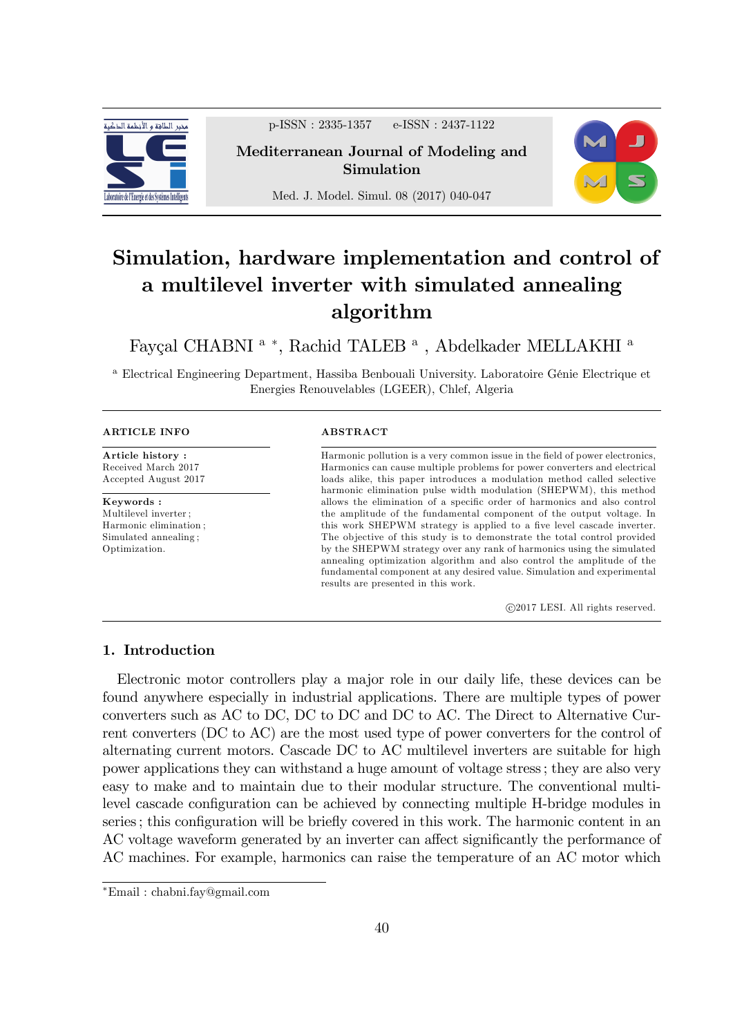

p-ISSN : 2335-1357 e-ISSN : 2437-1122

Mediterranean Journal of Modeling and Simulation

Med. J. Model. Simul. 08 (2017) 040-047



# Simulation, hardware implementation and control of a multilevel inverter with simulated annealing algorithm

Fayçal CHABNI a \*, Rachid TALEB a , Abdelkader MELLAKHI a

<sup>a</sup> Electrical Engineering Department, Hassiba Benbouali University. Laboratoire Génie Electrique et Energies Renouvelables (LGEER), Chlef, Algeria

#### ARTICLE INFO

Article history : Received March 2017 Accepted August 2017

Keywords : Multilevel inverter ; Harmonic elimination ; Simulated annealing ; Optimization.

#### ABSTRACT

Harmonic pollution is a very common issue in the field of power electronics, Harmonics can cause multiple problems for power converters and electrical loads alike, this paper introduces a modulation method called selective harmonic elimination pulse width modulation (SHEPWM), this method allows the elimination of a specific order of harmonics and also control the amplitude of the fundamental component of the output voltage. In this work SHEPWM strategy is applied to a five level cascade inverter. The objective of this study is to demonstrate the total control provided by the SHEPWM strategy over any rank of harmonics using the simulated annealing optimization algorithm and also control the amplitude of the fundamental component at any desired value. Simulation and experimental results are presented in this work.

c 2017 LESI. All rights reserved.

### 1. Introduction

Electronic motor controllers play a major role in our daily life, these devices can be found anywhere especially in industrial applications. There are multiple types of power converters such as AC to DC, DC to DC and DC to AC. The Direct to Alternative Current converters (DC to AC) are the most used type of power converters for the control of alternating current motors. Cascade DC to AC multilevel inverters are suitable for high power applications they can withstand a huge amount of voltage stress ; they are also very easy to make and to maintain due to their modular structure. The conventional multilevel cascade configuration can be achieved by connecting multiple H-bridge modules in series; this configuration will be briefly covered in this work. The harmonic content in an AC voltage waveform generated by an inverter can affect significantly the performance of AC machines. For example, harmonics can raise the temperature of an AC motor which

Email : chabni.fay@gmail.com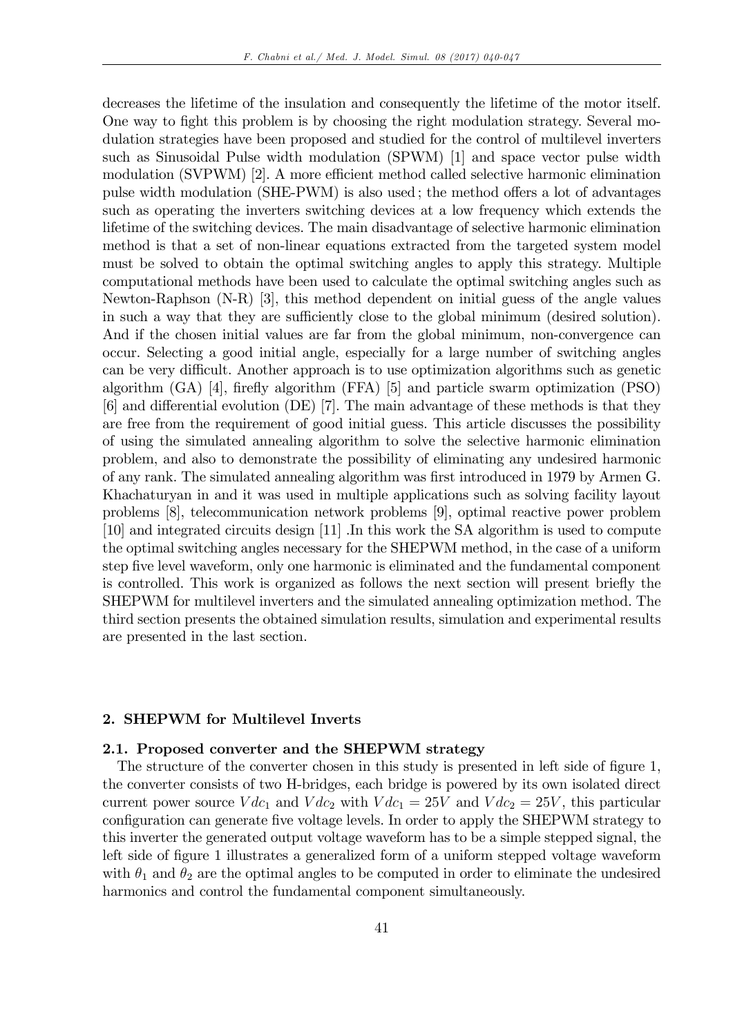decreases the lifetime of the insulation and consequently the lifetime of the motor itself. One way to Öght this problem is by choosing the right modulation strategy. Several modulation strategies have been proposed and studied for the control of multilevel inverters such as Sinusoidal Pulse width modulation (SPWM) [1] and space vector pulse width modulation (SVPWM) [2]. A more efficient method called selective harmonic elimination pulse width modulation (SHE-PWM) is also used; the method offers a lot of advantages such as operating the inverters switching devices at a low frequency which extends the lifetime of the switching devices. The main disadvantage of selective harmonic elimination method is that a set of non-linear equations extracted from the targeted system model must be solved to obtain the optimal switching angles to apply this strategy. Multiple computational methods have been used to calculate the optimal switching angles such as Newton-Raphson (N-R) [3], this method dependent on initial guess of the angle values in such a way that they are sufficiently close to the global minimum (desired solution). And if the chosen initial values are far from the global minimum, non-convergence can occur. Selecting a good initial angle, especially for a large number of switching angles can be very difficult. Another approach is to use optimization algorithms such as genetic algorithm  $(GA)$  [4], firefly algorithm  $(FFA)$  [5] and particle swarm optimization  $(PSO)$  $[6]$  and differential evolution (DE)  $[7]$ . The main advantage of these methods is that they are free from the requirement of good initial guess. This article discusses the possibility of using the simulated annealing algorithm to solve the selective harmonic elimination problem, and also to demonstrate the possibility of eliminating any undesired harmonic of any rank. The simulated annealing algorithm was first introduced in 1979 by Armen G. Khachaturyan in and it was used in multiple applications such as solving facility layout problems [8], telecommunication network problems [9], optimal reactive power problem [10] and integrated circuits design [11] .In this work the SA algorithm is used to compute the optimal switching angles necessary for the SHEPWM method, in the case of a uniform step Öve level waveform, only one harmonic is eliminated and the fundamental component is controlled. This work is organized as follows the next section will present brieáy the SHEPWM for multilevel inverters and the simulated annealing optimization method. The third section presents the obtained simulation results, simulation and experimental results are presented in the last section.

## 2. SHEPWM for Multilevel Inverts

#### 2.1. Proposed converter and the SHEPWM strategy

The structure of the converter chosen in this study is presented in left side of figure 1, the converter consists of two H-bridges, each bridge is powered by its own isolated direct current power source  $Vdc_1$  and  $Vdc_2$  with  $Vdc_1 = 25V$  and  $Vdc_2 = 25V$ , this particular configuration can generate five voltage levels. In order to apply the SHEPWM strategy to this inverter the generated output voltage waveform has to be a simple stepped signal, the left side of figure 1 illustrates a generalized form of a uniform stepped voltage waveform with  $\theta_1$  and  $\theta_2$  are the optimal angles to be computed in order to eliminate the undesired harmonics and control the fundamental component simultaneously.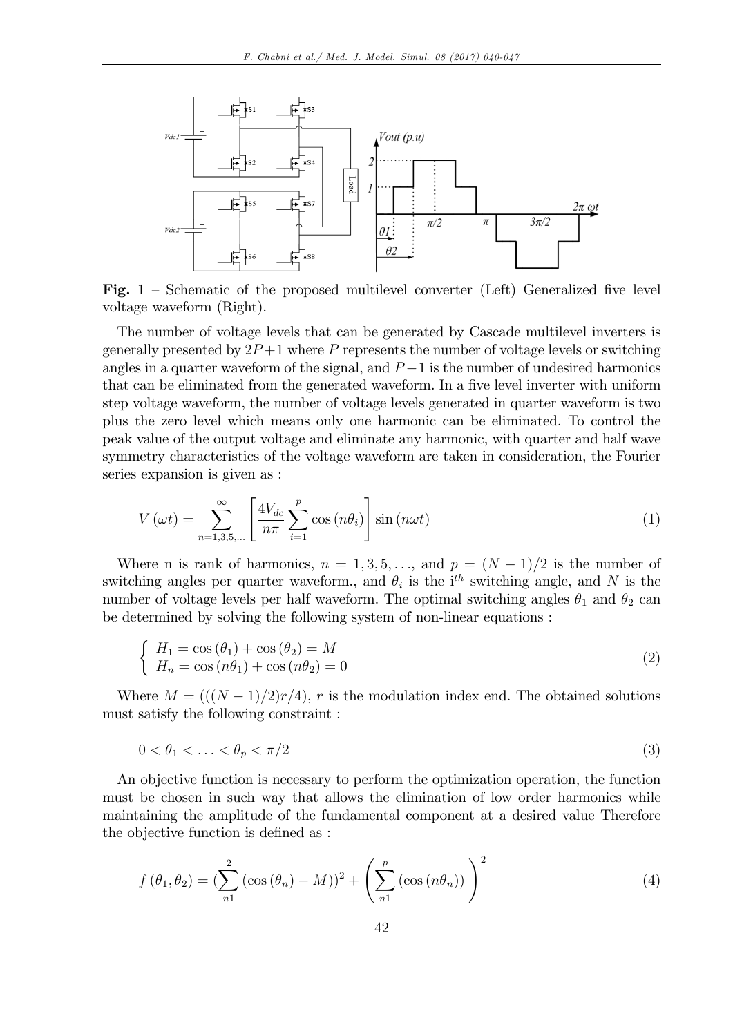

Fig.  $1$  – Schematic of the proposed multilevel converter (Left) Generalized five level voltage waveform (Right).

The number of voltage levels that can be generated by Cascade multilevel inverters is generally presented by  $2P+1$  where P represents the number of voltage levels or switching angles in a quarter waveform of the signal, and  $P-1$  is the number of undesired harmonics that can be eliminated from the generated waveform. In a five level inverter with uniform step voltage waveform, the number of voltage levels generated in quarter waveform is two plus the zero level which means only one harmonic can be eliminated. To control the peak value of the output voltage and eliminate any harmonic, with quarter and half wave symmetry characteristics of the voltage waveform are taken in consideration, the Fourier series expansion is given as :

$$
V(\omega t) = \sum_{n=1,3,5,...}^{\infty} \left[ \frac{4V_{dc}}{n\pi} \sum_{i=1}^{p} \cos\left(n\theta_{i}\right) \right] \sin\left(n\omega t\right) \tag{1}
$$

Where n is rank of harmonics,  $n = 1, 3, 5, \ldots$ , and  $p = (N-1)/2$  is the number of switching angles per quarter waveform., and  $\theta_i$  is the i<sup>th</sup> switching angle, and N is the number of voltage levels per half waveform. The optimal switching angles  $\theta_1$  and  $\theta_2$  can be determined by solving the following system of non-linear equations :

$$
\begin{cases}\nH_1 = \cos(\theta_1) + \cos(\theta_2) = M \\
H_n = \cos(n\theta_1) + \cos(n\theta_2) = 0\n\end{cases}
$$
\n(2)

Where  $M = ((N-1)/2)r/4$ , r is the modulation index end. The obtained solutions must satisfy the following constraint :

$$
0 < \theta_1 < \ldots < \theta_p < \pi/2 \tag{3}
$$

An objective function is necessary to perform the optimization operation, the function must be chosen in such way that allows the elimination of low order harmonics while maintaining the amplitude of the fundamental component at a desired value Therefore the objective function is defined as :

$$
f(\theta_1, \theta_2) = \left(\sum_{n=1}^2 (\cos(\theta_n) - M))^2 + \left(\sum_{n=1}^p (\cos(n\theta_n))\right)^2\right)
$$
(4)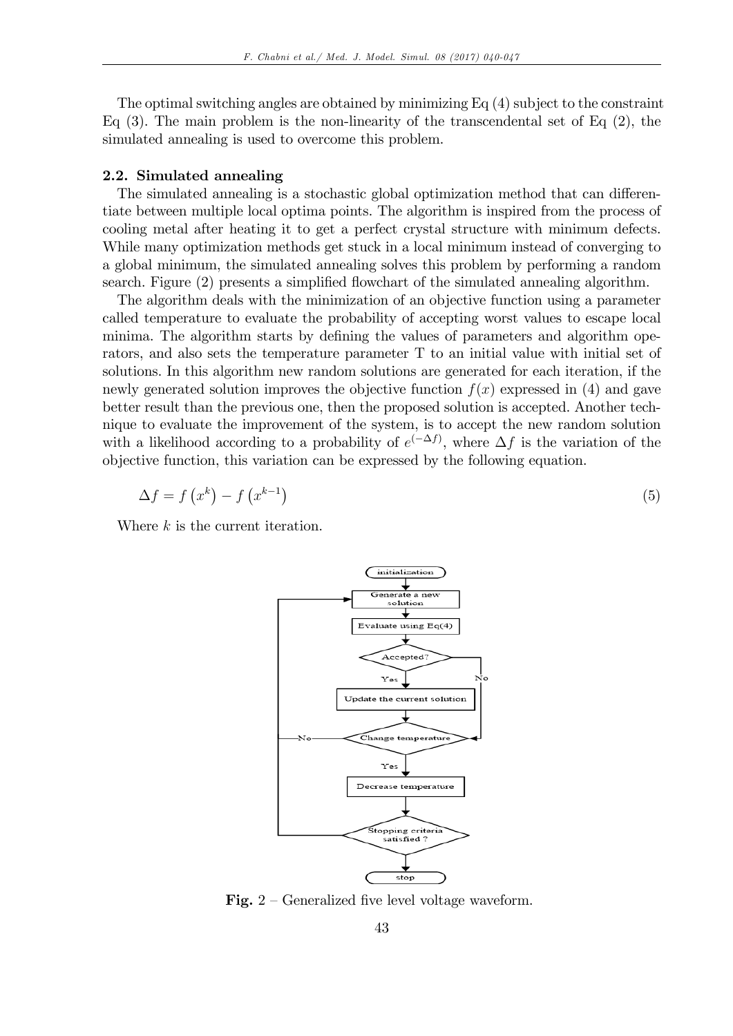The optimal switching angles are obtained by minimizing Eq (4) subject to the constraint Eq  $(3)$ . The main problem is the non-linearity of the transcendental set of Eq  $(2)$ , the simulated annealing is used to overcome this problem.

#### 2.2. Simulated annealing

The simulated annealing is a stochastic global optimization method that can differentiate between multiple local optima points. The algorithm is inspired from the process of cooling metal after heating it to get a perfect crystal structure with minimum defects. While many optimization methods get stuck in a local minimum instead of converging to a global minimum, the simulated annealing solves this problem by performing a random search. Figure (2) presents a simplified flowchart of the simulated annealing algorithm.

The algorithm deals with the minimization of an objective function using a parameter called temperature to evaluate the probability of accepting worst values to escape local minima. The algorithm starts by defining the values of parameters and algorithm operators, and also sets the temperature parameter T to an initial value with initial set of solutions. In this algorithm new random solutions are generated for each iteration, if the newly generated solution improves the objective function  $f(x)$  expressed in (4) and gave better result than the previous one, then the proposed solution is accepted. Another technique to evaluate the improvement of the system, is to accept the new random solution with a likelihood according to a probability of  $e^{(-\Delta f)}$ , where  $\Delta f$  is the variation of the objective function, this variation can be expressed by the following equation.

$$
\Delta f = f\left(x^k\right) - f\left(x^{k-1}\right) \tag{5}
$$

Where  $k$  is the current iteration.



Fig.  $2$  – Generalized five level voltage waveform.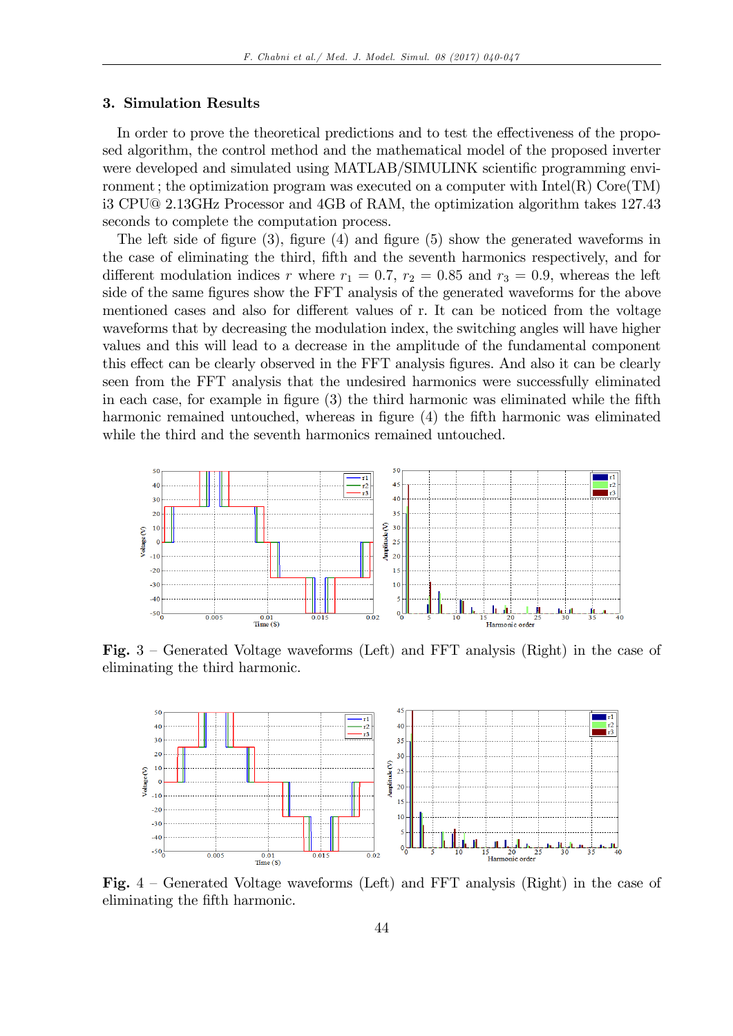#### 3. Simulation Results

In order to prove the theoretical predictions and to test the effectiveness of the proposed algorithm, the control method and the mathematical model of the proposed inverter were developed and simulated using MATLAB/SIMULINK scientific programming environment; the optimization program was executed on a computer with  $\text{Intel}(R) \text{ Core}(TM)$ i3 CPU@ 2.13GHz Processor and 4GB of RAM, the optimization algorithm takes 127.43 seconds to complete the computation process.

The left side of figure  $(3)$ , figure  $(4)$  and figure  $(5)$  show the generated waveforms in the case of eliminating the third, fifth and the seventh harmonics respectively, and for different modulation indices r where  $r_1 = 0.7$ ,  $r_2 = 0.85$  and  $r_3 = 0.9$ , whereas the left side of the same figures show the FFT analysis of the generated waveforms for the above mentioned cases and also for different values of r. It can be noticed from the voltage waveforms that by decreasing the modulation index, the switching angles will have higher values and this will lead to a decrease in the amplitude of the fundamental component this effect can be clearly observed in the FFT analysis figures. And also it can be clearly seen from the FFT analysis that the undesired harmonics were successfully eliminated in each case, for example in figure  $(3)$  the third harmonic was eliminated while the fifth harmonic remained untouched, whereas in figure (4) the fifth harmonic was eliminated while the third and the seventh harmonics remained untouched.



Fig.  $3$  – Generated Voltage waveforms (Left) and FFT analysis (Right) in the case of eliminating the third harmonic.



Fig.  $4$  – Generated Voltage waveforms (Left) and FFT analysis (Right) in the case of eliminating the fifth harmonic.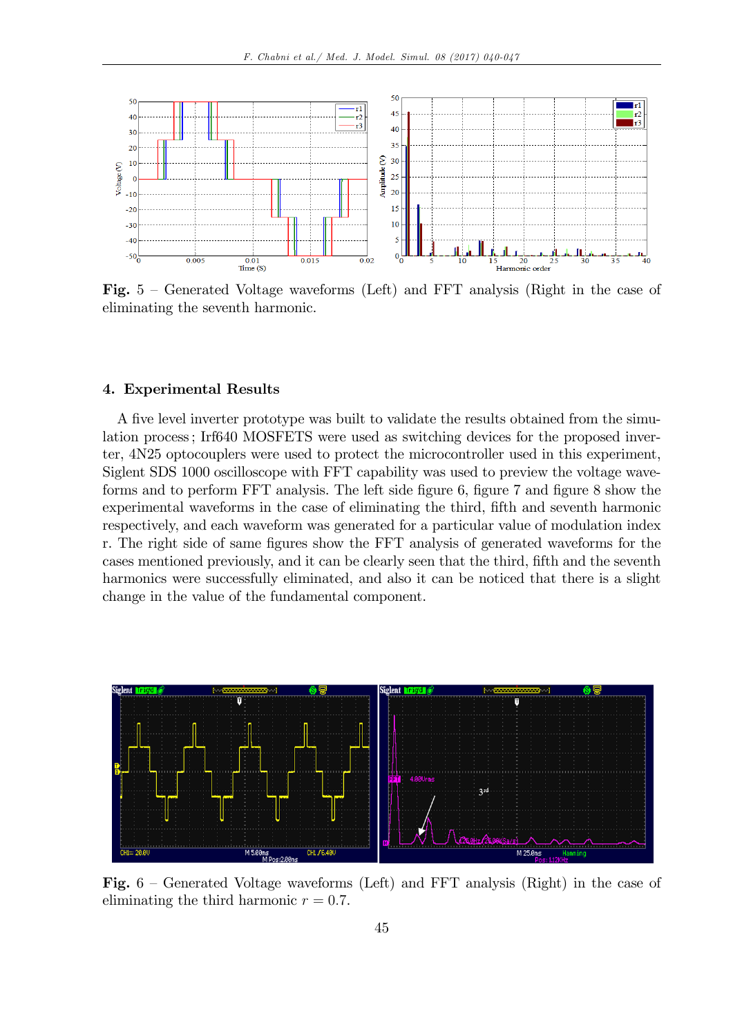

Fig.  $5$  – Generated Voltage waveforms (Left) and FFT analysis (Right in the case of eliminating the seventh harmonic.

#### 4. Experimental Results

A five level inverter prototype was built to validate the results obtained from the simulation process ; Irf640 MOSFETS were used as switching devices for the proposed inverter, 4N25 optocouplers were used to protect the microcontroller used in this experiment, Siglent SDS 1000 oscilloscope with FFT capability was used to preview the voltage waveforms and to perform  $FFT$  analysis. The left side figure 6, figure 7 and figure 8 show the experimental waveforms in the case of eliminating the third, Öfth and seventh harmonic respectively, and each waveform was generated for a particular value of modulation index r. The right side of same figures show the FFT analysis of generated waveforms for the cases mentioned previously, and it can be clearly seen that the third, Öfth and the seventh harmonics were successfully eliminated, and also it can be noticed that there is a slight change in the value of the fundamental component.



Fig.  $6$  – Generated Voltage waveforms (Left) and FFT analysis (Right) in the case of eliminating the third harmonic  $r = 0.7$ .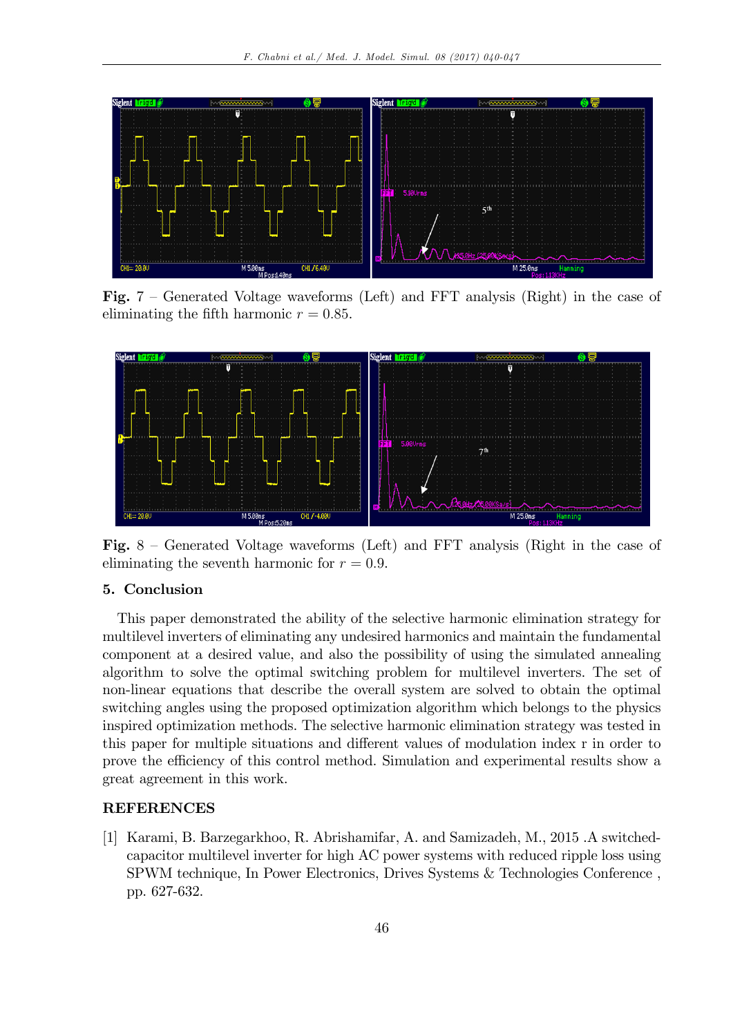

Fig.  $7$  – Generated Voltage waveforms (Left) and FFT analysis (Right) in the case of eliminating the fifth harmonic  $r = 0.85$ .



Fig.  $8$  – Generated Voltage waveforms (Left) and FFT analysis (Right in the case of eliminating the seventh harmonic for  $r = 0.9$ .

## 5. Conclusion

This paper demonstrated the ability of the selective harmonic elimination strategy for multilevel inverters of eliminating any undesired harmonics and maintain the fundamental component at a desired value, and also the possibility of using the simulated annealing algorithm to solve the optimal switching problem for multilevel inverters. The set of non-linear equations that describe the overall system are solved to obtain the optimal switching angles using the proposed optimization algorithm which belongs to the physics inspired optimization methods. The selective harmonic elimination strategy was tested in this paper for multiple situations and different values of modulation index r in order to prove the efficiency of this control method. Simulation and experimental results show a great agreement in this work.

## REFERENCES

[1] Karami, B. Barzegarkhoo, R. Abrishamifar, A. and Samizadeh, M., 2015 .A switchedcapacitor multilevel inverter for high AC power systems with reduced ripple loss using SPWM technique, In Power Electronics, Drives Systems & Technologies Conference , pp. 627-632.